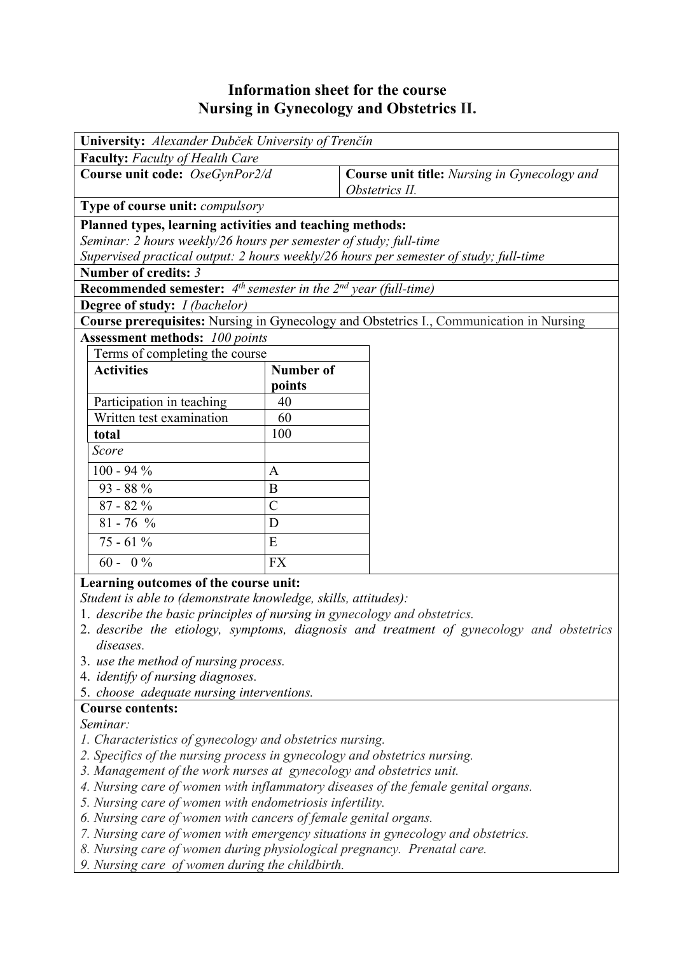# **Information sheet for the course Nursing in Gynecology and Obstetrics II.**

| University: Alexander Dubček University of Trenčín                                      |                  |                                              |  |  |  |  |  |
|-----------------------------------------------------------------------------------------|------------------|----------------------------------------------|--|--|--|--|--|
| <b>Faculty:</b> Faculty of Health Care                                                  |                  |                                              |  |  |  |  |  |
| Course unit code: OseGynPor2/d                                                          |                  | Course unit title: Nursing in Gynecology and |  |  |  |  |  |
|                                                                                         |                  | Obstetrics II.                               |  |  |  |  |  |
| Type of course unit: compulsory                                                         |                  |                                              |  |  |  |  |  |
| Planned types, learning activities and teaching methods:                                |                  |                                              |  |  |  |  |  |
| Seminar: 2 hours weekly/26 hours per semester of study; full-time                       |                  |                                              |  |  |  |  |  |
| Supervised practical output: 2 hours weekly/26 hours per semester of study; full-time   |                  |                                              |  |  |  |  |  |
| Number of credits: 3                                                                    |                  |                                              |  |  |  |  |  |
| <b>Recommended semester:</b> $4^{th}$ semester in the $2^{nd}$ year (full-time)         |                  |                                              |  |  |  |  |  |
| <b>Degree of study:</b> <i>I (bachelor)</i>                                             |                  |                                              |  |  |  |  |  |
| Course prerequisites: Nursing in Gynecology and Obstetrics I., Communication in Nursing |                  |                                              |  |  |  |  |  |
| <b>Assessment methods: 100 points</b>                                                   |                  |                                              |  |  |  |  |  |
| Terms of completing the course                                                          |                  |                                              |  |  |  |  |  |
| <b>Activities</b>                                                                       | <b>Number of</b> |                                              |  |  |  |  |  |
|                                                                                         | points           |                                              |  |  |  |  |  |
| Participation in teaching                                                               | 40               |                                              |  |  |  |  |  |
| Written test examination                                                                | 60               |                                              |  |  |  |  |  |
| total                                                                                   | 100              |                                              |  |  |  |  |  |
| Score                                                                                   |                  |                                              |  |  |  |  |  |
| $100 - 94 %$                                                                            | $\mathbf{A}$     |                                              |  |  |  |  |  |
| $93 - 88\%$                                                                             | B                |                                              |  |  |  |  |  |
| $87 - 82%$                                                                              | $\overline{C}$   |                                              |  |  |  |  |  |
| $81 - 76$ %                                                                             | D                |                                              |  |  |  |  |  |
| $75 - 61\%$                                                                             | E                |                                              |  |  |  |  |  |
| $60 - 0\%$                                                                              | <b>FX</b>        |                                              |  |  |  |  |  |
| Learning outcomes of the course unit:                                                   |                  |                                              |  |  |  |  |  |
| Student is able to (demonstrate knowledge, skills, attitudes):                          |                  |                                              |  |  |  |  |  |

1. *describe the basic principles of nursing in gynecology and obstetrics.* 

- 2. *describe the etiology, symptoms, diagnosis and treatment of gynecology and obstetrics diseases.*
- 3. *use the method of nursing process.*
- 4. *identify of nursing diagnoses.*
- 5. *choose adequate nursing interventions.*

#### **Course contents:**

*Seminar:* 

- *1. Characteristics of gynecology and obstetrics nursing.*
- *2. Specifics of the nursing process in gynecology and obstetrics nursing.*
- *3. Management of the work nurses at gynecology and obstetrics unit.*
- *4. Nursing care of women with inflammatory diseases of the female genital organs.*
- *5. Nursing care of women with endometriosis infertility.*
- *6. Nursing care of women with cancers of female genital organs.*
- *7. Nursing care of women with emergency situations in gynecology and obstetrics.*
- *8. Nursing care of women during physiological pregnancy. Prenatal care.*
- *9. Nursing care of women during the childbirth.*